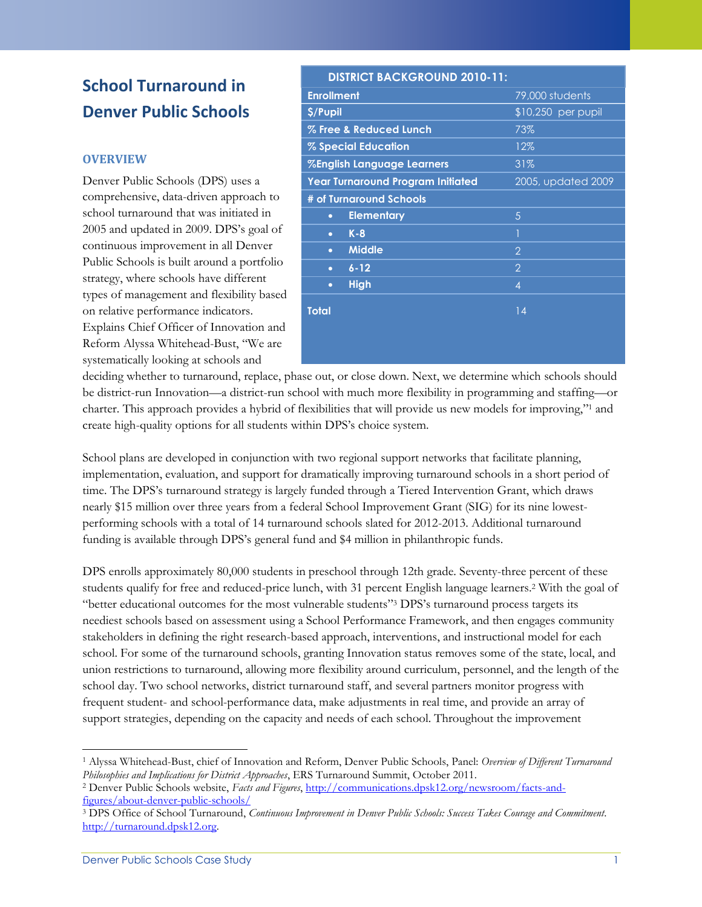# **School Turnaround in Denver Public Schools**

### **OVERVIEW**

Denver Public Schools (DPS) uses a comprehensive, data-driven approach to school turnaround that was initiated in 2005 and updated in 2009. DPS's goal of continuous improvement in all Denver Public Schools is built around a portfolio strategy, where schools have different types of management and flexibility based on relative performance indicators. Explains Chief Officer of Innovation and Reform Alyssa Whitehead-Bust, "We are systematically looking at schools and

| <b>DISTRICT BACKGROUND 2010-11:</b>      |                    |
|------------------------------------------|--------------------|
| <b>Enrollment</b>                        | 79,000 students    |
| \$/Pupil                                 | \$10,250 per pupil |
| % Free & Reduced Lunch                   | 73%                |
| % Special Education                      | 12%                |
| <b>%English Language Learners</b>        | 31%                |
| <b>Year Turnaround Program Initiated</b> | 2005, updated 2009 |
| # of Turnaround Schools                  |                    |
| <b>Elementary</b><br>$\bullet$           | 5                  |
| $K - 8$<br>$\bullet$                     | 1                  |
| <b>Middle</b><br>$\bullet$               | $\overline{2}$     |
| $6 - 12$<br>$\bullet$                    | $\overline{2}$     |
| <b>High</b><br>$\bullet$                 | $\overline{4}$     |
| <b>Total</b>                             | 14                 |
|                                          |                    |

deciding whether to turnaround, replace, phase out, or close down. Next, we determine which schools should be district-run Innovation—a district-run school with much more flexibility in programming and staffing—or charter. This approach provides a hybrid of flexibilities that will provide us new models for improving," <sup>1</sup> and create high-quality options for all students within DPS's choice system.

School plans are developed in conjunction with two regional support networks that facilitate planning, implementation, evaluation, and support for dramatically improving turnaround schools in a short period of time. The DPS's turnaround strategy is largely funded through a Tiered Intervention Grant, which draws nearly \$15 million over three years from a federal School Improvement Grant (SIG) for its nine lowestperforming schools with a total of 14 turnaround schools slated for 2012-2013. Additional turnaround funding is available through DPS's general fund and \$4 million in philanthropic funds.

DPS enrolls approximately 80,000 students in preschool through 12th grade. Seventy-three percent of these students qualify for free and reduced-price lunch, with 31 percent English language learners.<sup>2</sup> With the goal of "better educational outcomes for the most vulnerable students"<sup>3</sup> DPS's turnaround process targets its neediest schools based on assessment using a School Performance Framework, and then engages community stakeholders in defining the right research-based approach, interventions, and instructional model for each school. For some of the turnaround schools, granting Innovation status removes some of the state, local, and union restrictions to turnaround, allowing more flexibility around curriculum, personnel, and the length of the school day. Two school networks, district turnaround staff, and several partners monitor progress with frequent student- and school-performance data, make adjustments in real time, and provide an array of support strategies, depending on the capacity and needs of each school. Throughout the improvement

 $\overline{\phantom{a}}$ 

<sup>1</sup> Alyssa Whitehead-Bust, chief of Innovation and Reform, Denver Public Schools, Panel: *Overview of Different Turnaround Philosophies and Implications for District Approaches*, ERS Turnaround Summit, October 2011.

<sup>2</sup> Denver Public Schools website, *Facts and Figures*, [http://communications.dpsk12.org/newsroom/facts-and](http://communications.dpsk12.org/newsroom/facts-and-figures/about-denver-public-schools/)[figures/about-denver-public-schools/](http://communications.dpsk12.org/newsroom/facts-and-figures/about-denver-public-schools/)

<sup>3</sup> DPS Office of School Turnaround, *Continuous Improvement in Denver Public Schools: Success Takes Courage and Commitment*. [http://turnaround.dpsk12.org.](http://turnaround.dpsk12.org/)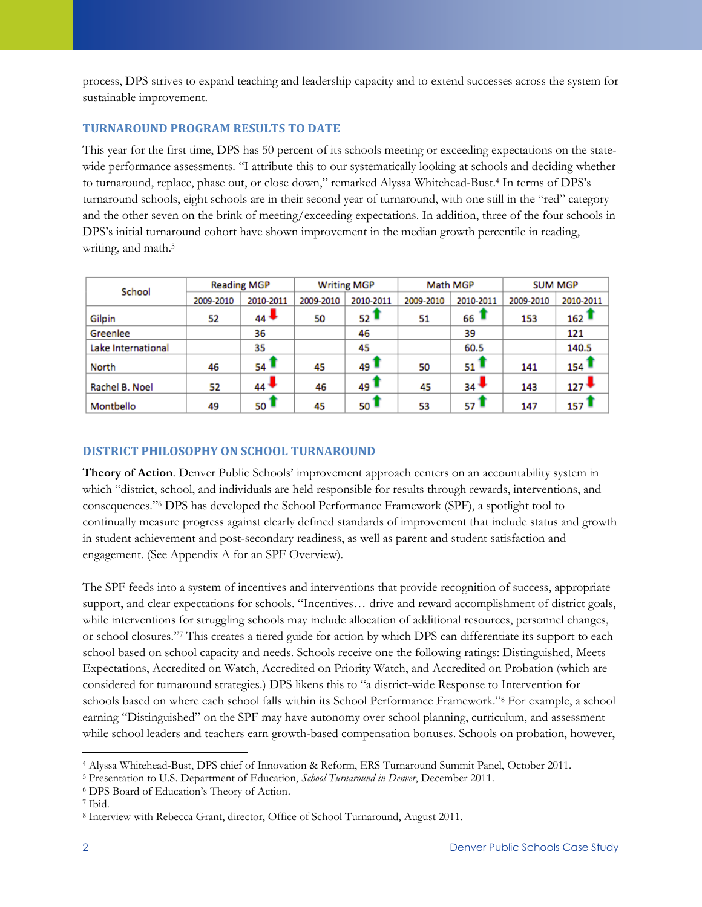process, DPS strives to expand teaching and leadership capacity and to extend successes across the system for sustainable improvement.

# **TURNAROUND PROGRAM RESULTS TO DATE**

This year for the first time, DPS has 50 percent of its schools meeting or exceeding expectations on the statewide performance assessments. "I attribute this to our systematically looking at schools and deciding whether to turnaround, replace, phase out, or close down," remarked Alyssa Whitehead-Bust.<sup>4</sup> In terms of DPS's turnaround schools, eight schools are in their second year of turnaround, with one still in the "red" category and the other seven on the brink of meeting/exceeding expectations. In addition, three of the four schools in DPS's initial turnaround cohort have shown improvement in the median growth percentile in reading, writing, and math.<sup>5</sup>

| School             |           | <b>Reading MGP</b> | <b>Writing MGP</b> |                    | Math MGP  |                    | <b>SUM MGP</b> |                  |
|--------------------|-----------|--------------------|--------------------|--------------------|-----------|--------------------|----------------|------------------|
|                    | 2009-2010 | 2010-2011          | 2009-2010          | 2010-2011          | 2009-2010 | 2010-2011          | 2009-2010      | 2010-2011        |
| Gilpin             | 52        | $44 +$             | 50                 | $52^{\frac{1}{2}}$ | 51        | $66$ 1             | 153            | 162              |
| Greenlee           |           | 36                 |                    | 46                 |           | 39                 |                | 121              |
| Lake International |           | 35                 |                    | 45                 |           | 60.5               |                | 140.5            |
| North              | 46        | $54^{\frac{1}{2}}$ | 45                 | $49 -$             | 50        | $51^{\frac{1}{2}}$ | 141            | $154 -$          |
| Rachel B. Noel     | 52        | $44 +$             | 46                 | $49^{\frac{1}{2}}$ | 45        | $34 -$             | 143            | $127*$           |
| Montbello          | 49        | $_{50}$ T          | 45                 | 50 <sup>1</sup>    | 53        | 57 1               | 147            | 157 <sup>1</sup> |

# **DISTRICT PHILOSOPHY ON SCHOOL TURNAROUND**

**Theory of Action**. Denver Public Schools' improvement approach centers on an accountability system in which "district, school, and individuals are held responsible for results through rewards, interventions, and consequences."<sup>6</sup> DPS has developed the School Performance Framework (SPF), a spotlight tool to continually measure progress against clearly defined standards of improvement that include status and growth in student achievement and post-secondary readiness, as well as parent and student satisfaction and engagement. (See Appendix A for an SPF Overview).

The SPF feeds into a system of incentives and interventions that provide recognition of success, appropriate support, and clear expectations for schools. "Incentives... drive and reward accomplishment of district goals, while interventions for struggling schools may include allocation of additional resources, personnel changes, or school closures."<sup>7</sup> This creates a tiered guide for action by which DPS can differentiate its support to each school based on school capacity and needs. Schools receive one the following ratings: Distinguished, Meets Expectations, Accredited on Watch, Accredited on Priority Watch, and Accredited on Probation (which are considered for turnaround strategies.) DPS likens this to "a district-wide Response to Intervention for schools based on where each school falls within its School Performance Framework."<sup>8</sup> For example, a school earning "Distinguished" on the SPF may have autonomy over school planning, curriculum, and assessment while school leaders and teachers earn growth-based compensation bonuses. Schools on probation, however,

 $\overline{\phantom{a}}$ <sup>4</sup> Alyssa Whitehead-Bust, DPS chief of Innovation & Reform, ERS Turnaround Summit Panel, October 2011.

<sup>5</sup> Presentation to U.S. Department of Education, *School Turnaround in Denver*, December 2011.

<sup>6</sup> DPS Board of Education's Theory of Action.

<sup>7</sup> Ibid.

<sup>8</sup> Interview with Rebecca Grant, director, Office of School Turnaround, August 2011.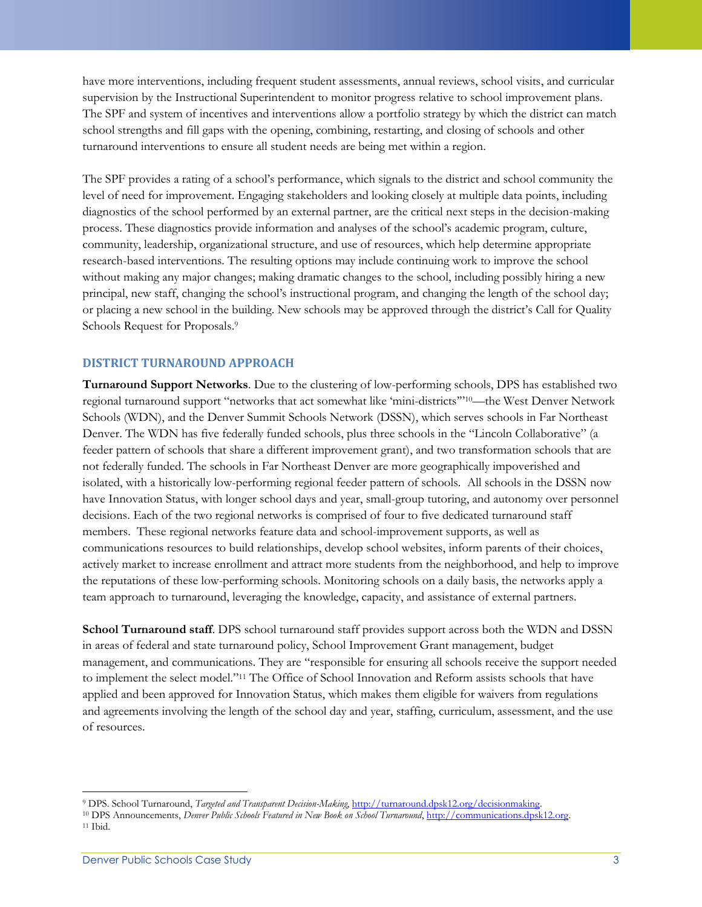have more interventions, including frequent student assessments, annual reviews, school visits, and curricular supervision by the Instructional Superintendent to monitor progress relative to school improvement plans. The SPF and system of incentives and interventions allow a portfolio strategy by which the district can match school strengths and fill gaps with the opening, combining, restarting, and closing of schools and other turnaround interventions to ensure all student needs are being met within a region.

The SPF provides a rating of a school's performance, which signals to the district and school community the level of need for improvement. Engaging stakeholders and looking closely at multiple data points, including diagnostics of the school performed by an external partner, are the critical next steps in the decision-making process. These diagnostics provide information and analyses of the school's academic program, culture, community, leadership, organizational structure, and use of resources, which help determine appropriate research-based interventions. The resulting options may include continuing work to improve the school without making any major changes; making dramatic changes to the school, including possibly hiring a new principal, new staff, changing the school's instructional program, and changing the length of the school day; or placing a new school in the building. New schools may be approved through the district's Call for Quality Schools Request for Proposals.<sup>9</sup>

#### **DISTRICT TURNAROUND APPROACH**

**Turnaround Support Networks**. Due to the clustering of low-performing schools, DPS has established two regional turnaround support "networks that act somewhat like 'mini-districts"<sup>10</sup>—the West Denver Network Schools (WDN), and the Denver Summit Schools Network (DSSN), which serves schools in Far Northeast Denver. The WDN has five federally funded schools, plus three schools in the "Lincoln Collaborative" (a feeder pattern of schools that share a different improvement grant), and two transformation schools that are not federally funded. The schools in Far Northeast Denver are more geographically impoverished and isolated, with a historically low-performing regional feeder pattern of schools. All schools in the DSSN now have Innovation Status, with longer school days and year, small-group tutoring, and autonomy over personnel decisions. Each of the two regional networks is comprised of four to five dedicated turnaround staff members. These regional networks feature data and school-improvement supports, as well as communications resources to build relationships, develop school websites, inform parents of their choices, actively market to increase enrollment and attract more students from the neighborhood, and help to improve the reputations of these low-performing schools. Monitoring schools on a daily basis, the networks apply a team approach to turnaround, leveraging the knowledge, capacity, and assistance of external partners.

**School Turnaround staff**. DPS school turnaround staff provides support across both the WDN and DSSN in areas of federal and state turnaround policy, School Improvement Grant management, budget management, and communications. They are "responsible for ensuring all schools receive the support needed to implement the select model."<sup>11</sup> The Office of School Innovation and Reform assists schools that have applied and been approved for Innovation Status, which makes them eligible for waivers from regulations and agreements involving the length of the school day and year, staffing, curriculum, assessment, and the use of resources.

 $\overline{\phantom{a}}$ 

<sup>9</sup> DPS. School Turnaround, *Targeted and Transparent Decision-Making*, [http://turnaround.dpsk12.org/decisionmaking.](http://turnaround.dpsk12.org/decisionmaking)

<sup>10</sup> DPS Announcements, *Denver Public Schools Featured in New Book on School Turnaround*, [http://communications.dpsk12.org.](http://communications.dpsk12.org/)

<sup>11</sup> Ibid.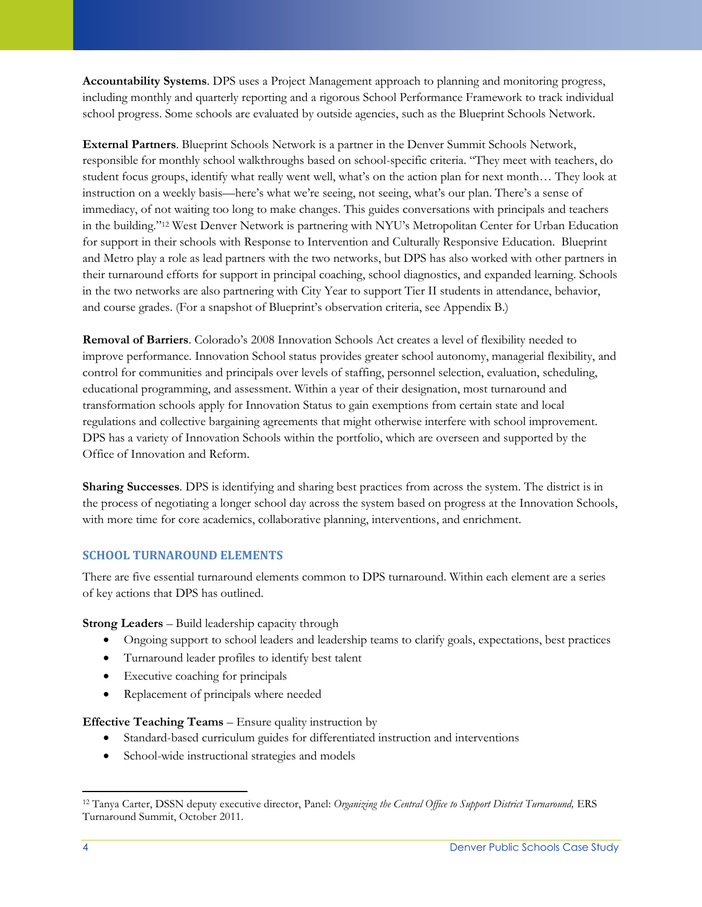**Accountability Systems**. DPS uses a Project Management approach to planning and monitoring progress, including monthly and quarterly reporting and a rigorous School Performance Framework to track individual school progress. Some schools are evaluated by outside agencies, such as the Blueprint Schools Network.

**External Partners**. Blueprint Schools Network is a partner in the Denver Summit Schools Network, responsible for monthly school walkthroughs based on school-specific criteria. "They meet with teachers, do student focus groups, identify what really went well, what's on the action plan for next month… They look at instruction on a weekly basis—here's what we're seeing, not seeing, what's our plan. There's a sense of immediacy, of not waiting too long to make changes. This guides conversations with principals and teachers in the building."<sup>12</sup> West Denver Network is partnering with NYU's Metropolitan Center for Urban Education for support in their schools with Response to Intervention and Culturally Responsive Education. Blueprint and Metro play a role as lead partners with the two networks, but DPS has also worked with other partners in their turnaround efforts for support in principal coaching, school diagnostics, and expanded learning. Schools in the two networks are also partnering with City Year to support Tier II students in attendance, behavior, and course grades. (For a snapshot of Blueprint's observation criteria, see Appendix B.)

**Removal of Barriers**. Colorado's 2008 Innovation Schools Act creates a level of flexibility needed to improve performance. Innovation School status provides greater school autonomy, managerial flexibility, and control for communities and principals over levels of staffing, personnel selection, evaluation, scheduling, educational programming, and assessment. Within a year of their designation, most turnaround and transformation schools apply for Innovation Status to gain exemptions from certain state and local regulations and collective bargaining agreements that might otherwise interfere with school improvement. DPS has a variety of Innovation Schools within the portfolio, which are overseen and supported by the Office of Innovation and Reform.

**Sharing Successes***.* DPS is identifying and sharing best practices from across the system. The district is in the process of negotiating a longer school day across the system based on progress at the Innovation Schools, with more time for core academics, collaborative planning, interventions, and enrichment.

### **SCHOOL TURNAROUND ELEMENTS**

There are five essential turnaround elements common to DPS turnaround. Within each element are a series of key actions that DPS has outlined.

**Strong Leaders** – Build leadership capacity through

- Ongoing support to school leaders and leadership teams to clarify goals, expectations, best practices
- Turnaround leader profiles to identify best talent
- Executive coaching for principals
- Replacement of principals where needed

**Effective Teaching Teams** – Ensure quality instruction by

- Standard-based curriculum guides for differentiated instruction and interventions
- School-wide instructional strategies and models

 $\overline{\phantom{a}}$ <sup>12</sup> Tanya Carter, DSSN deputy executive director, Panel: *Organizing the Central Office to Support District Turnaround,* ERS Turnaround Summit, October 2011.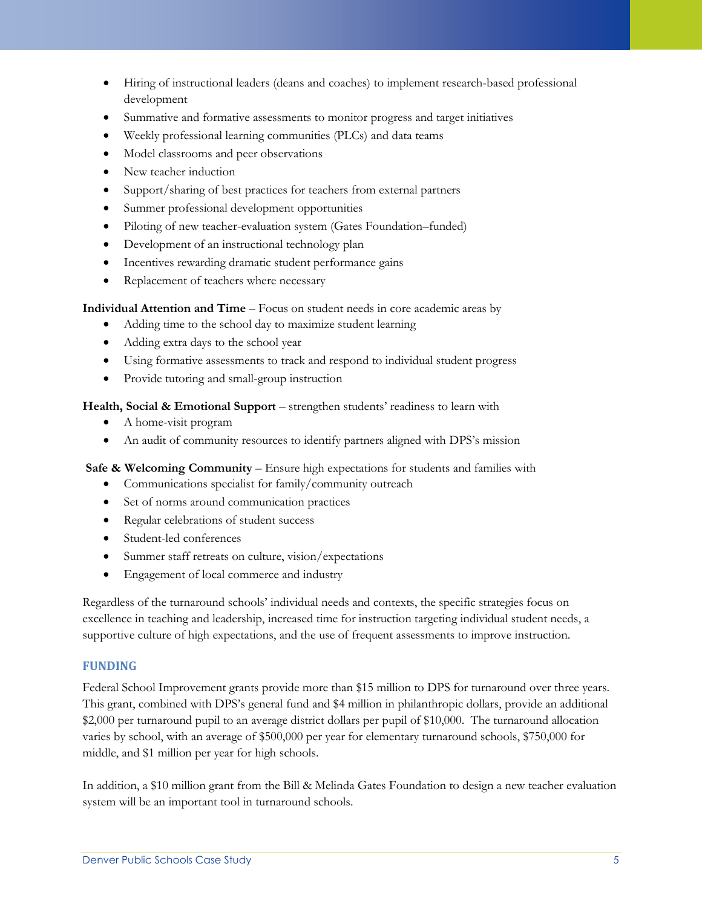- Hiring of instructional leaders (deans and coaches) to implement research-based professional development
- Summative and formative assessments to monitor progress and target initiatives
- Weekly professional learning communities (PLCs) and data teams
- Model classrooms and peer observations
- New teacher induction
- Support/sharing of best practices for teachers from external partners
- Summer professional development opportunities
- Piloting of new teacher-evaluation system (Gates Foundation–funded)
- Development of an instructional technology plan
- Incentives rewarding dramatic student performance gains
- Replacement of teachers where necessary

**Individual Attention and Time** – Focus on student needs in core academic areas by

- Adding time to the school day to maximize student learning
- Adding extra days to the school year
- Using formative assessments to track and respond to individual student progress
- Provide tutoring and small-group instruction

**Health, Social & Emotional Support** – strengthen students' readiness to learn with

- A home-visit program
- An audit of community resources to identify partners aligned with DPS's mission

**Safe & Welcoming Community** – Ensure high expectations for students and families with

- Communications specialist for family/community outreach
- Set of norms around communication practices
- Regular celebrations of student success
- Student-led conferences
- Summer staff retreats on culture, vision/expectations
- Engagement of local commerce and industry

Regardless of the turnaround schools' individual needs and contexts, the specific strategies focus on excellence in teaching and leadership, increased time for instruction targeting individual student needs, a supportive culture of high expectations, and the use of frequent assessments to improve instruction.

#### **FUNDING**

Federal School Improvement grants provide more than \$15 million to DPS for turnaround over three years. This grant, combined with DPS's general fund and \$4 million in philanthropic dollars, provide an additional \$2,000 per turnaround pupil to an average district dollars per pupil of \$10,000. The turnaround allocation varies by school, with an average of \$500,000 per year for elementary turnaround schools, \$750,000 for middle, and \$1 million per year for high schools.

In addition, a \$10 million grant from the Bill & Melinda Gates Foundation to design a new teacher evaluation system will be an important tool in turnaround schools.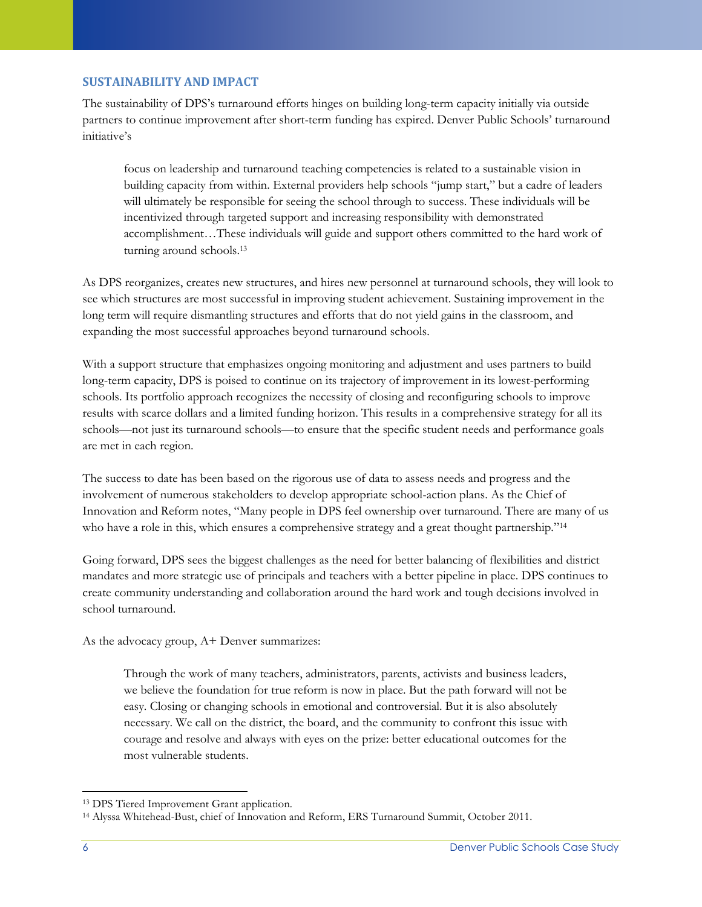### **SUSTAINABILITY AND IMPACT**

The sustainability of DPS's turnaround efforts hinges on building long-term capacity initially via outside partners to continue improvement after short-term funding has expired. Denver Public Schools' turnaround initiative's

focus on leadership and turnaround teaching competencies is related to a sustainable vision in building capacity from within. External providers help schools "jump start," but a cadre of leaders will ultimately be responsible for seeing the school through to success. These individuals will be incentivized through targeted support and increasing responsibility with demonstrated accomplishment…These individuals will guide and support others committed to the hard work of turning around schools.<sup>13</sup>

As DPS reorganizes, creates new structures, and hires new personnel at turnaround schools, they will look to see which structures are most successful in improving student achievement. Sustaining improvement in the long term will require dismantling structures and efforts that do not yield gains in the classroom, and expanding the most successful approaches beyond turnaround schools.

With a support structure that emphasizes ongoing monitoring and adjustment and uses partners to build long-term capacity, DPS is poised to continue on its trajectory of improvement in its lowest-performing schools. Its portfolio approach recognizes the necessity of closing and reconfiguring schools to improve results with scarce dollars and a limited funding horizon. This results in a comprehensive strategy for all its schools—not just its turnaround schools—to ensure that the specific student needs and performance goals are met in each region.

The success to date has been based on the rigorous use of data to assess needs and progress and the involvement of numerous stakeholders to develop appropriate school-action plans. As the Chief of Innovation and Reform notes, "Many people in DPS feel ownership over turnaround. There are many of us who have a role in this, which ensures a comprehensive strategy and a great thought partnership."<sup>14</sup>

Going forward, DPS sees the biggest challenges as the need for better balancing of flexibilities and district mandates and more strategic use of principals and teachers with a better pipeline in place. DPS continues to create community understanding and collaboration around the hard work and tough decisions involved in school turnaround.

As the advocacy group, A+ Denver summarizes:

Through the work of many teachers, administrators, parents, activists and business leaders, we believe the foundation for true reform is now in place. But the path forward will not be easy. Closing or changing schools in emotional and controversial. But it is also absolutely necessary. We call on the district, the board, and the community to confront this issue with courage and resolve and always with eyes on the prize: better educational outcomes for the most vulnerable students.

 $\overline{\phantom{a}}$ <sup>13</sup> DPS Tiered Improvement Grant application.

<sup>14</sup> Alyssa Whitehead-Bust, chief of Innovation and Reform, ERS Turnaround Summit, October 2011.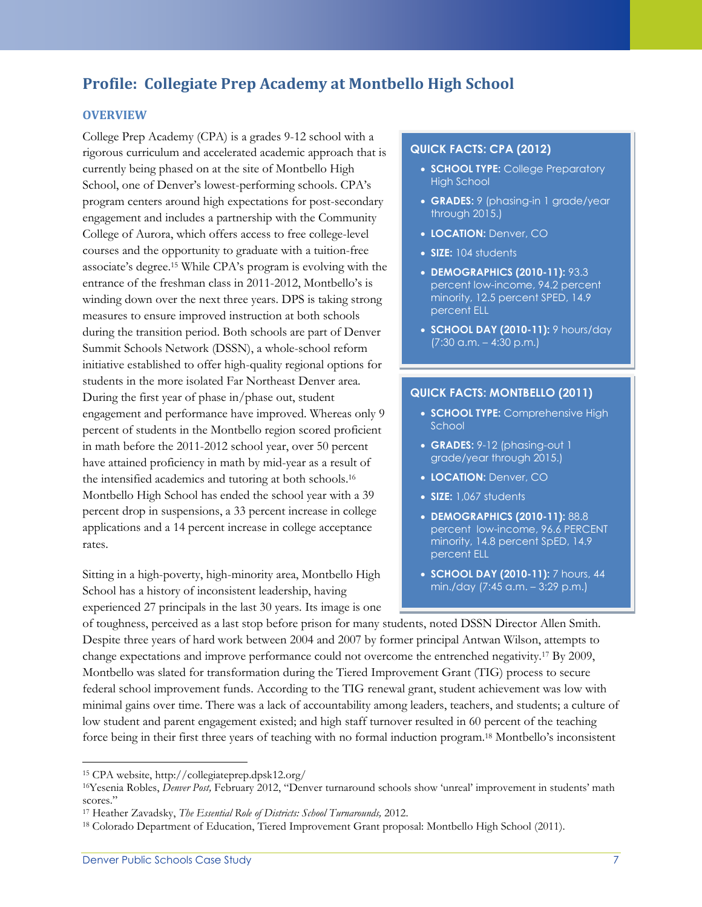# **Profile: Collegiate Prep Academy at Montbello High School**

#### **OVERVIEW**

College Prep Academy (CPA) is a grades 9-12 school with a rigorous curriculum and accelerated academic approach that is currently being phased on at the site of Montbello High School, one of Denver's lowest-performing schools. CPA's program centers around high expectations for post-secondary engagement and includes a partnership with the Community College of Aurora, which offers access to free college-level courses and the opportunity to graduate with a tuition-free associate's degree.<sup>15</sup> While CPA's program is evolving with the entrance of the freshman class in 2011-2012, Montbello's is winding down over the next three years. DPS is taking strong measures to ensure improved instruction at both schools during the transition period. Both schools are part of Denver Summit Schools Network (DSSN), a whole-school reform initiative established to offer high-quality regional options for students in the more isolated Far Northeast Denver area. During the first year of phase in/phase out, student engagement and performance have improved. Whereas only 9 percent of students in the Montbello region scored proficient in math before the 2011-2012 school year, over 50 percent have attained proficiency in math by mid-year as a result of the intensified academics and tutoring at both schools.<sup>16</sup> Montbello High School has ended the school year with a 39 percent drop in suspensions, a 33 percent increase in college applications and a 14 percent increase in college acceptance rates.

Sitting in a high-poverty, high-minority area, Montbello High School has a history of inconsistent leadership, having experienced 27 principals in the last 30 years. Its image is one

#### **QUICK FACTS: CPA (2012)**

- **SCHOOL TYPE:** College Preparatory High School
- **GRADES:** 9 (phasing-in 1 grade/year through 2015.)
- **LOCATION:** Denver, CO
- **SIZE:** 104 students
- **DEMOGRAPHICS (2010-11):** 93.3 percent low-income, 94.2 percent minority, 12.5 percent SPED, 14.9 percent ELL
- **SCHOOL DAY (2010-11):** 9 hours/day (7:30 a.m. – 4:30 p.m.)

#### **QUICK FACTS: MONTBELLO (2011)**

- **SCHOOL TYPE:** Comprehensive High School
- **GRADES:** 9-12 (phasing-out 1 grade/year through 2015.)
- **LOCATION:** Denver, CO
- **SIZE:** 1,067 students
- **DEMOGRAPHICS (2010-11):** 88.8 percent low-income, 96.6 PERCENT minority, 14.8 percent SpED, 14.9 percent ELL
- **SCHOOL DAY (2010-11):** 7 hours, 44 min./day (7:45 a.m. – 3:29 p.m.)

of toughness, perceived as a last stop before prison for many students, noted DSSN Director Allen Smith. Despite three years of hard work between 2004 and 2007 by former principal Antwan Wilson, attempts to change expectations and improve performance could not overcome the entrenched negativity.<sup>17</sup> By 2009, Montbello was slated for transformation during the Tiered Improvement Grant (TIG) process to secure federal school improvement funds. According to the TIG renewal grant, student achievement was low with minimal gains over time. There was a lack of accountability among leaders, teachers, and students; a culture of low student and parent engagement existed; and high staff turnover resulted in 60 percent of the teaching force being in their first three years of teaching with no formal induction program.<sup>18</sup> Montbello's inconsistent

l

<sup>15</sup> CPA website, http://collegiateprep.dpsk12.org/

<sup>16</sup>Yesenia Robles, *Denver Post,* February 2012, "Denver turnaround schools show 'unreal' improvement in students' math scores."

<sup>17</sup> Heather Zavadsky, *The Essential Role of Districts: School Turnarounds,* 2012.

<sup>18</sup> Colorado Department of Education, Tiered Improvement Grant proposal: Montbello High School (2011).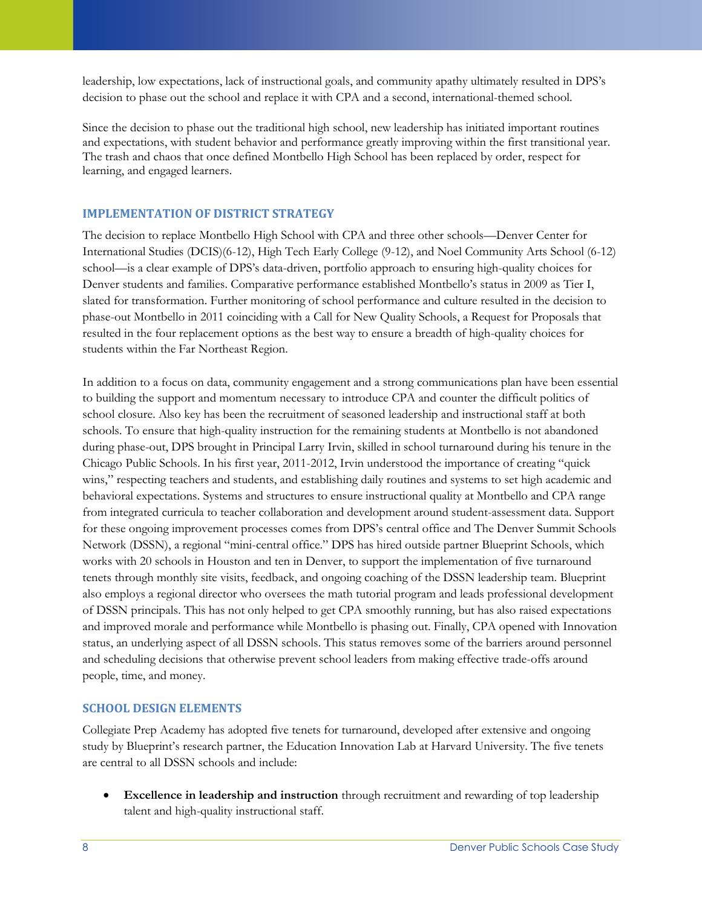leadership, low expectations, lack of instructional goals, and community apathy ultimately resulted in DPS's decision to phase out the school and replace it with CPA and a second, international-themed school.

Since the decision to phase out the traditional high school, new leadership has initiated important routines and expectations, with student behavior and performance greatly improving within the first transitional year. The trash and chaos that once defined Montbello High School has been replaced by order, respect for learning, and engaged learners.

### **IMPLEMENTATION OF DISTRICT STRATEGY**

The decision to replace Montbello High School with CPA and three other schools—Denver Center for International Studies (DCIS)(6-12), High Tech Early College (9-12), and Noel Community Arts School (6-12) school—is a clear example of DPS's data-driven, portfolio approach to ensuring high-quality choices for Denver students and families. Comparative performance established Montbello's status in 2009 as Tier I, slated for transformation. Further monitoring of school performance and culture resulted in the decision to phase-out Montbello in 2011 coinciding with a Call for New Quality Schools, a Request for Proposals that resulted in the four replacement options as the best way to ensure a breadth of high-quality choices for students within the Far Northeast Region.

In addition to a focus on data, community engagement and a strong communications plan have been essential to building the support and momentum necessary to introduce CPA and counter the difficult politics of school closure. Also key has been the recruitment of seasoned leadership and instructional staff at both schools. To ensure that high-quality instruction for the remaining students at Montbello is not abandoned during phase-out, DPS brought in Principal Larry Irvin, skilled in school turnaround during his tenure in the Chicago Public Schools. In his first year, 2011-2012, Irvin understood the importance of creating "quick wins," respecting teachers and students, and establishing daily routines and systems to set high academic and behavioral expectations. Systems and structures to ensure instructional quality at Montbello and CPA range from integrated curricula to teacher collaboration and development around student-assessment data. Support for these ongoing improvement processes comes from DPS's central office and The Denver Summit Schools Network (DSSN), a regional "mini-central office." DPS has hired outside partner Blueprint Schools, which works with 20 schools in Houston and ten in Denver, to support the implementation of five turnaround tenets through monthly site visits, feedback, and ongoing coaching of the DSSN leadership team. Blueprint also employs a regional director who oversees the math tutorial program and leads professional development of DSSN principals. This has not only helped to get CPA smoothly running, but has also raised expectations and improved morale and performance while Montbello is phasing out. Finally, CPA opened with Innovation status, an underlying aspect of all DSSN schools. This status removes some of the barriers around personnel and scheduling decisions that otherwise prevent school leaders from making effective trade-offs around people, time, and money.

# **SCHOOL DESIGN ELEMENTS**

Collegiate Prep Academy has adopted five tenets for turnaround, developed after extensive and ongoing study by Blueprint's research partner, the Education Innovation Lab at Harvard University. The five tenets are central to all DSSN schools and include:

 **Excellence in leadership and instruction** through recruitment and rewarding of top leadership talent and high-quality instructional staff.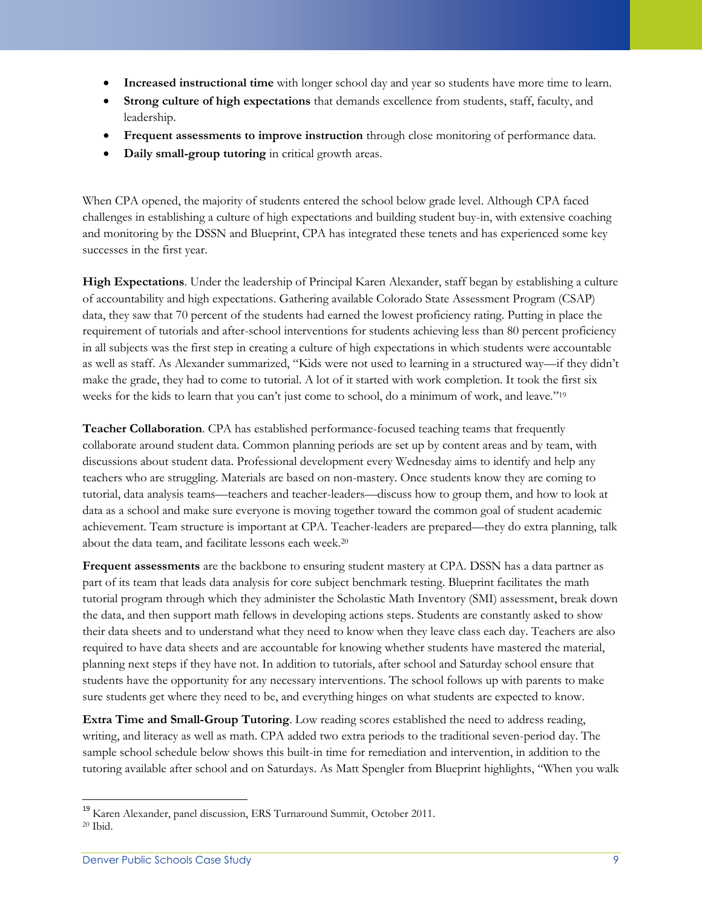- **Increased instructional time** with longer school day and year so students have more time to learn.
- **Strong culture of high expectations** that demands excellence from students, staff, faculty, and leadership.
- **Frequent assessments to improve instruction** through close monitoring of performance data.
- **Daily small-group tutoring** in critical growth areas.

When CPA opened, the majority of students entered the school below grade level. Although CPA faced challenges in establishing a culture of high expectations and building student buy-in, with extensive coaching and monitoring by the DSSN and Blueprint, CPA has integrated these tenets and has experienced some key successes in the first year.

**High Expectations**. Under the leadership of Principal Karen Alexander, staff began by establishing a culture of accountability and high expectations. Gathering available Colorado State Assessment Program (CSAP) data, they saw that 70 percent of the students had earned the lowest proficiency rating. Putting in place the requirement of tutorials and after-school interventions for students achieving less than 80 percent proficiency in all subjects was the first step in creating a culture of high expectations in which students were accountable as well as staff. As Alexander summarized, "Kids were not used to learning in a structured way—if they didn't make the grade, they had to come to tutorial. A lot of it started with work completion. It took the first six weeks for the kids to learn that you can't just come to school, do a minimum of work, and leave."<sup>19</sup>

**Teacher Collaboration**. CPA has established performance-focused teaching teams that frequently collaborate around student data. Common planning periods are set up by content areas and by team, with discussions about student data. Professional development every Wednesday aims to identify and help any teachers who are struggling. Materials are based on non-mastery. Once students know they are coming to tutorial, data analysis teams—teachers and teacher-leaders—discuss how to group them, and how to look at data as a school and make sure everyone is moving together toward the common goal of student academic achievement. Team structure is important at CPA. Teacher-leaders are prepared—they do extra planning, talk about the data team, and facilitate lessons each week.<sup>20</sup>

**Frequent assessments** are the backbone to ensuring student mastery at CPA. DSSN has a data partner as part of its team that leads data analysis for core subject benchmark testing. Blueprint facilitates the math tutorial program through which they administer the Scholastic Math Inventory (SMI) assessment, break down the data, and then support math fellows in developing actions steps. Students are constantly asked to show their data sheets and to understand what they need to know when they leave class each day. Teachers are also required to have data sheets and are accountable for knowing whether students have mastered the material, planning next steps if they have not. In addition to tutorials, after school and Saturday school ensure that students have the opportunity for any necessary interventions. The school follows up with parents to make sure students get where they need to be, and everything hinges on what students are expected to know.

**Extra Time and Small-Group Tutoring**. Low reading scores established the need to address reading, writing, and literacy as well as math. CPA added two extra periods to the traditional seven-period day. The sample school schedule below shows this built-in time for remediation and intervention, in addition to the tutoring available after school and on Saturdays. As Matt Spengler from Blueprint highlights, "When you walk

 $\overline{a}$ <sup>19</sup> Karen Alexander, panel discussion, ERS Turnaround Summit, October 2011. <sup>20</sup> Ibid.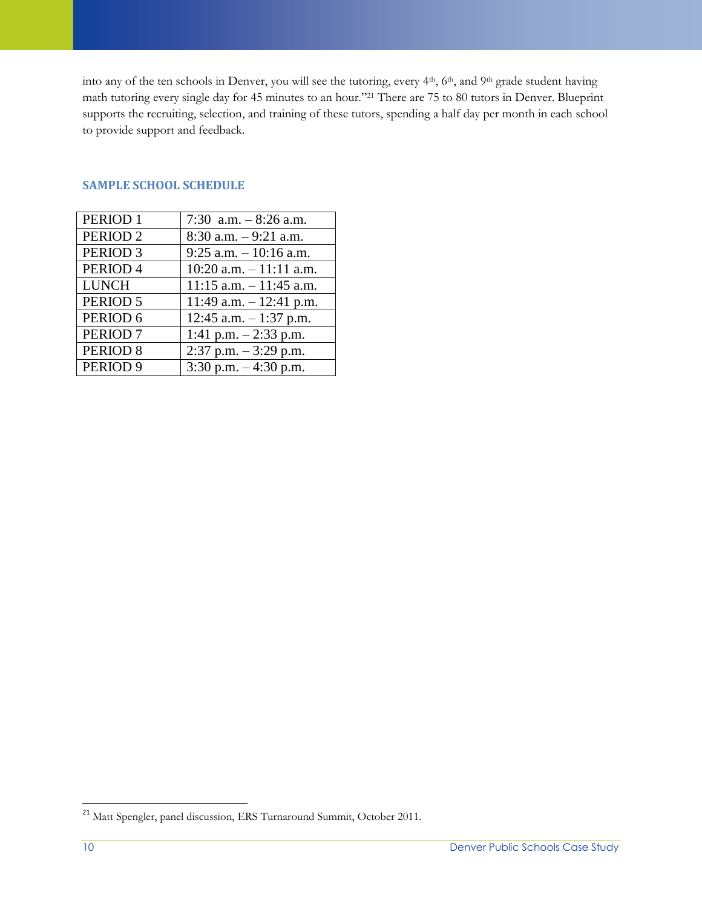into any of the ten schools in Denver, you will see the tutoring, every 4<sup>th</sup>, 6<sup>th</sup>, and 9<sup>th</sup> grade student having math tutoring every single day for 45 minutes to an hour." <sup>21</sup> There are 75 to 80 tutors in Denver. Blueprint supports the recruiting, selection, and training of these tutors, spending a half day per month in each school to provide support and feedback.

| PERIOD <sub>1</sub> | 7:30 a.m. $-8:26$ a.m.     |
|---------------------|----------------------------|
| PERIOD <sub>2</sub> | $8:30$ a.m. $-9:21$ a.m.   |
| PERIOD <sub>3</sub> | $9:25$ a.m. $-10:16$ a.m.  |
| PERIOD <sub>4</sub> | $10:20$ a.m. $-11:11$ a.m. |
| <b>LUNCH</b>        | $11:15$ a.m. $-11:45$ a.m. |
| PERIOD 5            | 11:49 a.m. $-$ 12:41 p.m.  |
| PERIOD 6            | 12:45 a.m. $-1:37$ p.m.    |
| PERIOD <sub>7</sub> | 1:41 p.m. $-2:33$ p.m.     |
| PERIOD <sub>8</sub> | $2:37$ p.m. $-3:29$ p.m.   |
| PERIOD <sub>9</sub> | 3:30 p.m. $-4:30$ p.m.     |

#### **SAMPLE SCHOOL SCHEDULE**

 $\overline{a}$ 

<sup>&</sup>lt;sup>21</sup> Matt Spengler, panel discussion, ERS Turnaround Summit, October 2011.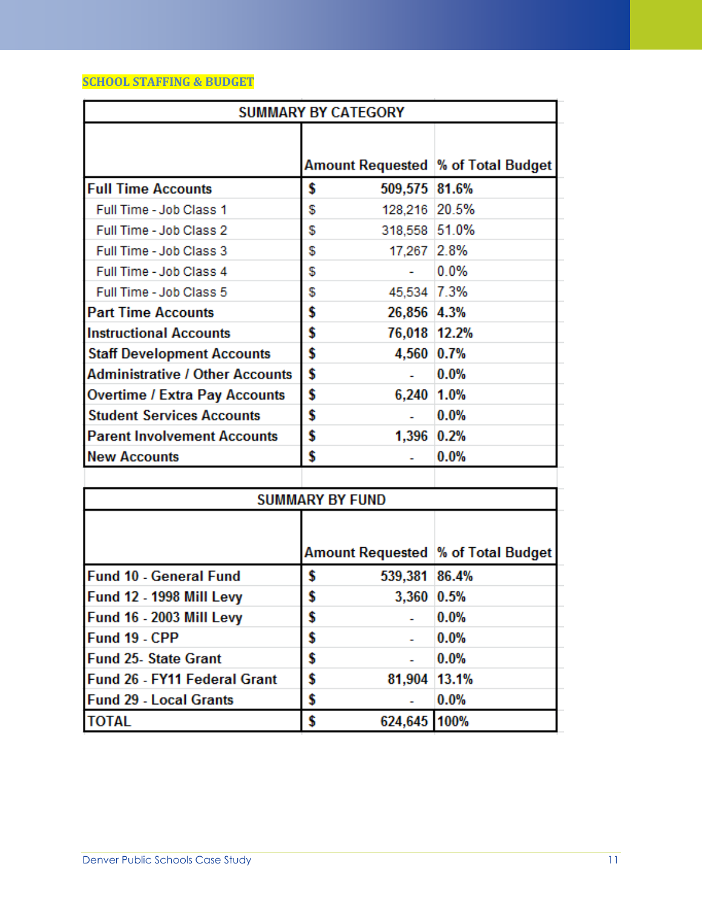# **SCHOOL STAFFING & BUDGET**

| <b>SUMMARY BY CATEGORY</b>             |                                     |         |  |  |
|----------------------------------------|-------------------------------------|---------|--|--|
|                                        | Amount Requested  % of Total Budget |         |  |  |
| <b>Full Time Accounts</b>              | \$<br>509,575 81.6%                 |         |  |  |
| Full Time - Job Class 1                | 128,216 20.5%<br>\$                 |         |  |  |
| Full Time - Job Class 2                | 318,558 51.0%<br>\$                 |         |  |  |
| Full Time - Job Class 3                | 17,267 2.8%<br>\$                   |         |  |  |
| Full Time - Job Class 4                | \$                                  | 0.0%    |  |  |
| Full Time - Job Class 5                | 45,534 7.3%<br>\$                   |         |  |  |
| <b>Part Time Accounts</b>              | \$<br>26,856 4.3%                   |         |  |  |
| <b>Instructional Accounts</b>          | \$<br>76,018 12.2%                  |         |  |  |
| <b>Staff Development Accounts</b>      | \$<br>4,560 0.7%                    |         |  |  |
| <b>Administrative / Other Accounts</b> | \$                                  | 0.0%    |  |  |
| <b>Overtime / Extra Pay Accounts</b>   | \$<br>6,240 1.0%                    |         |  |  |
| <b>Student Services Accounts</b>       | \$                                  | 0.0%    |  |  |
| <b>Parent Involvement Accounts</b>     | \$<br>1,396 0.2%                    |         |  |  |
| <b>New Accounts</b>                    | \$                                  | 0.0%    |  |  |
|                                        |                                     |         |  |  |
|                                        | <b>SUMMARY BY FUND</b>              |         |  |  |
|                                        |                                     |         |  |  |
|                                        | Amount Requested  % of Total Budget |         |  |  |
| <b>Fund 10 - General Fund</b>          | \$<br>539,381 86.4%                 |         |  |  |
| Fund 12 - 1998 Mill Levy               | \$<br>3,360 0.5%                    |         |  |  |
| <b>Fund 16 - 2003 Mill Levy</b>        | \$                                  | 0.0%    |  |  |
| Fund 19 - CPP                          | \$                                  | 0.0%    |  |  |
| <b>Fund 25- State Grant</b>            | \$                                  | $0.0\%$ |  |  |
| <b>Fund 26 - FY11 Federal Grant</b>    | \$<br>81,904 13.1%                  |         |  |  |
| <b>Fund 29 - Local Grants</b>          | \$                                  | $0.0\%$ |  |  |
| <b>TOTAL</b>                           | \$<br>624,645                       | 100%    |  |  |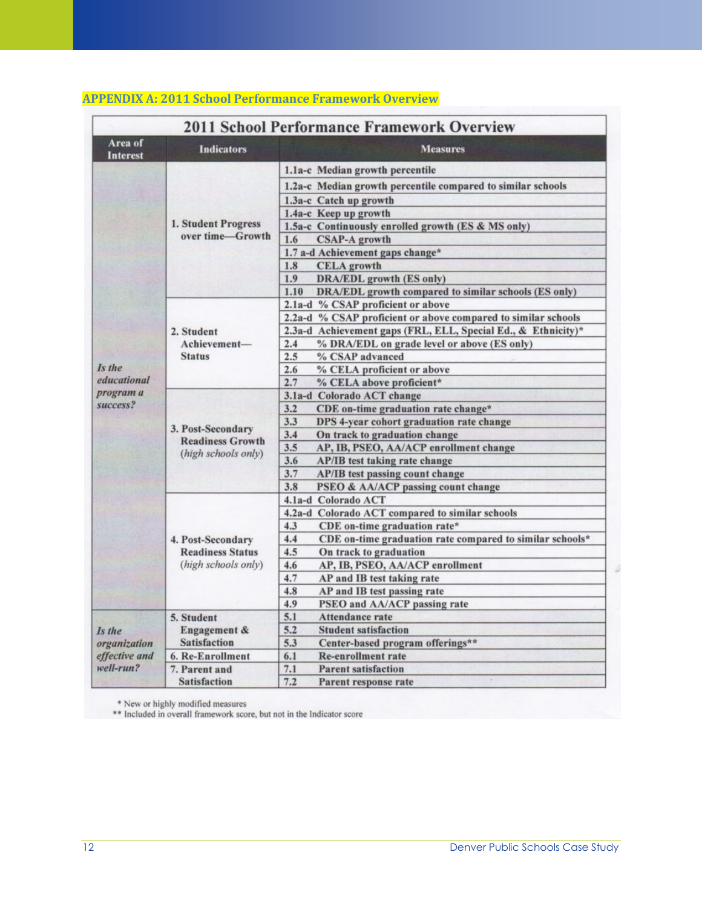| <b>2011 School Performance Framework Overview</b>    |                                                                     |                                                                 |  |  |
|------------------------------------------------------|---------------------------------------------------------------------|-----------------------------------------------------------------|--|--|
| Area of<br><b>Interest</b>                           | <b>Indicators</b>                                                   | <b>Measures</b>                                                 |  |  |
|                                                      | 1. Student Progress<br>over time-Growth                             | 1.1a-c Median growth percentile                                 |  |  |
|                                                      |                                                                     | 1.2a-c Median growth percentile compared to similar schools     |  |  |
|                                                      |                                                                     | 1.3a-c Catch up growth                                          |  |  |
|                                                      |                                                                     | 1.4a-c Keep up growth                                           |  |  |
|                                                      |                                                                     | 1.5a-c Continuously enrolled growth (ES & MS only)              |  |  |
|                                                      |                                                                     | 1.6<br><b>CSAP-A growth</b>                                     |  |  |
|                                                      |                                                                     | 1.7 a-d Achievement gaps change*                                |  |  |
|                                                      |                                                                     | <b>CELA</b> growth<br>1.8                                       |  |  |
|                                                      |                                                                     | 1.9<br><b>DRA/EDL</b> growth (ES only)                          |  |  |
|                                                      |                                                                     | DRA/EDL growth compared to similar schools (ES only)<br>1.10    |  |  |
|                                                      |                                                                     | 2.1a-d % CSAP proficient or above                               |  |  |
|                                                      |                                                                     | 2.2a-d % CSAP proficient or above compared to similar schools   |  |  |
|                                                      | 2. Student                                                          | 2.3a-d Achievement gaps (FRL, ELL, Special Ed., & Ethnicity)*   |  |  |
|                                                      | Achievement-                                                        | % DRA/EDL on grade level or above (ES only)<br>2.4              |  |  |
|                                                      | <b>Status</b>                                                       | 2.5<br>% CSAP advanced                                          |  |  |
| Is the                                               |                                                                     | % CELA proficient or above<br>2.6                               |  |  |
| educational                                          |                                                                     | 2.7<br>% CELA above proficient*                                 |  |  |
| program a                                            |                                                                     | 3.1a-d Colorado ACT change                                      |  |  |
| success?                                             | 3. Post-Secondary<br><b>Readiness Growth</b>                        | CDE on-time graduation rate change*<br>3.2                      |  |  |
|                                                      |                                                                     | 3.3<br>DPS 4-year cohort graduation rate change                 |  |  |
|                                                      |                                                                     | 3.4<br>On track to graduation change                            |  |  |
|                                                      |                                                                     | 3.5<br>AP, IB, PSEO, AA/ACP enrollment change                   |  |  |
|                                                      | (high schools only)                                                 | 3.6<br><b>AP/IB</b> test taking rate change                     |  |  |
|                                                      |                                                                     | 3.7<br>AP/IB test passing count change                          |  |  |
|                                                      |                                                                     | 3.8<br>PSEO & AA/ACP passing count change                       |  |  |
|                                                      | 4. Post-Secondary<br><b>Readiness Status</b><br>(high schools only) | 4.1a-d Colorado ACT                                             |  |  |
|                                                      |                                                                     | 4.2a-d Colorado ACT compared to similar schools                 |  |  |
|                                                      |                                                                     | CDE on-time graduation rate*<br>4.3                             |  |  |
|                                                      |                                                                     | CDE on-time graduation rate compared to similar schools*<br>4.4 |  |  |
|                                                      |                                                                     | 4.5<br>On track to graduation                                   |  |  |
|                                                      |                                                                     | AP, IB, PSEO, AA/ACP enrollment<br>4.6                          |  |  |
|                                                      |                                                                     | 4.7<br>AP and IB test taking rate                               |  |  |
|                                                      |                                                                     | AP and IB test passing rate<br>4.8                              |  |  |
|                                                      |                                                                     | 4.9<br>PSEO and AA/ACP passing rate                             |  |  |
| Is the<br>organization<br>effective and<br>well-run? | 5. Student                                                          | 5.1<br>Attendance rate                                          |  |  |
|                                                      | Engagement &<br><b>Satisfaction</b>                                 | 5.2<br><b>Student satisfaction</b>                              |  |  |
|                                                      |                                                                     | 5.3<br>Center-based program offerings**                         |  |  |
|                                                      | 6. Re-Enrollment                                                    | 6.1<br><b>Re-enrollment rate</b>                                |  |  |
|                                                      | 7. Parent and                                                       | 7.1<br><b>Parent satisfaction</b>                               |  |  |
|                                                      | <b>Satisfaction</b>                                                 | 7.2<br>Parent response rate                                     |  |  |

# **APPENDIX A: 2011 School Performance Framework Overview**

\* New or highly modified measures<br>\*\* Included in overall framework score, but not in the Indicator score